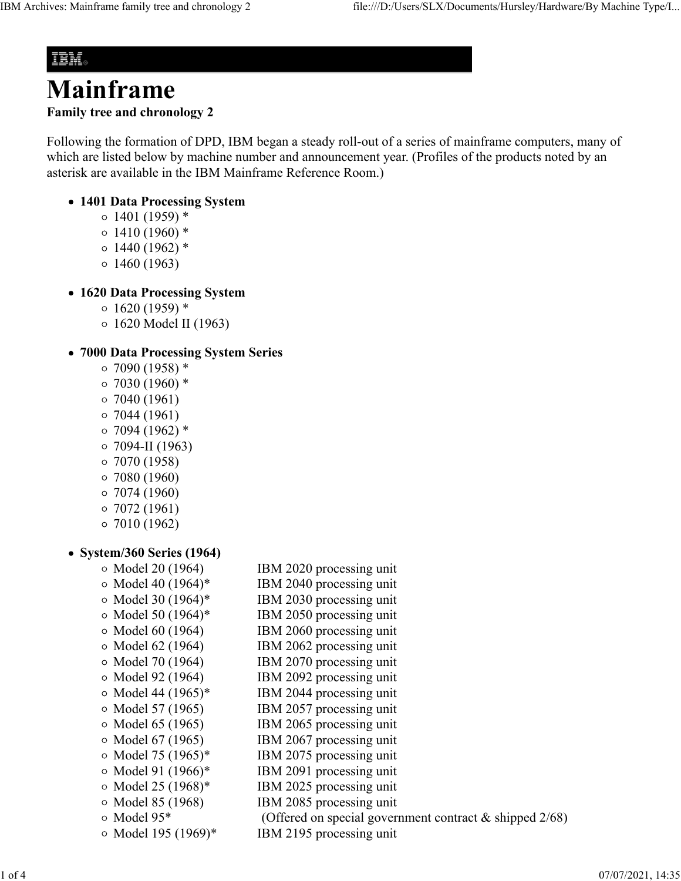## IBM.

# **Mainframe Family tree and chronology 2**

Following the formation of DPD, IBM began a steady roll-out of a series of mainframe computers, many of which are listed below by machine number and announcement year. (Profiles of the products noted by an asterisk are available in the IBM Mainframe Reference Room.)

#### **1401 Data Processing System**

- $0.1401(1959)$  \*
- $\circ$  1410 (1960) \*
- $\circ$  1440 (1962)  $*$
- $0.1460(1963)$

#### **1620 Data Processing System**

- $\circ$  1620 (1959)  $*$
- 1620 Model II (1963)

#### **7000 Data Processing System Series**

- $\circ$  7090 (1958) \*
- $\circ$  7030 (1960) \*
- $\circ$  7040 (1961)
- $\circ$  7044 (1961)
- $0.7094(1962)$  \*
- $\circ$  7094-II (1963)
- $\circ$  7070 (1958)
- $0.7080(1960)$
- $\circ$  7074 (1960)
- $\circ$  7072 (1961)
- $\circ$  7010 (1962)

#### **System/360 Series (1964)**

| $\circ$ Model 20 (1964)  | IBM 2020 processing unit                                  |
|--------------------------|-----------------------------------------------------------|
| $\circ$ Model 40 (1964)* | IBM 2040 processing unit                                  |
| $\circ$ Model 30 (1964)* | IBM 2030 processing unit                                  |
| $\circ$ Model 50 (1964)* | IBM 2050 processing unit                                  |
| $\circ$ Model 60 (1964)  | IBM 2060 processing unit                                  |
| $\circ$ Model 62 (1964)  | IBM 2062 processing unit                                  |
| $\circ$ Model 70 (1964)  | IBM 2070 processing unit                                  |
| $\circ$ Model 92 (1964)  | IBM 2092 processing unit                                  |
| $\circ$ Model 44 (1965)* | IBM 2044 processing unit                                  |
| ○ Model 57 (1965)        | IBM 2057 processing unit                                  |
| $\circ$ Model 65 (1965)  | IBM 2065 processing unit                                  |
| $\circ$ Model 67 (1965)  | IBM 2067 processing unit                                  |
| $\circ$ Model 75 (1965)* | IBM 2075 processing unit                                  |
| $\circ$ Model 91 (1966)* | IBM 2091 processing unit                                  |
| $\circ$ Model 25 (1968)* | IBM 2025 processing unit                                  |
| $\circ$ Model 85 (1968)  | IBM 2085 processing unit                                  |
| o Model 95*              | (Offered on special government contract $&$ shipped 2/68) |

Model 195 (1969)\* IBM 2195 processing unit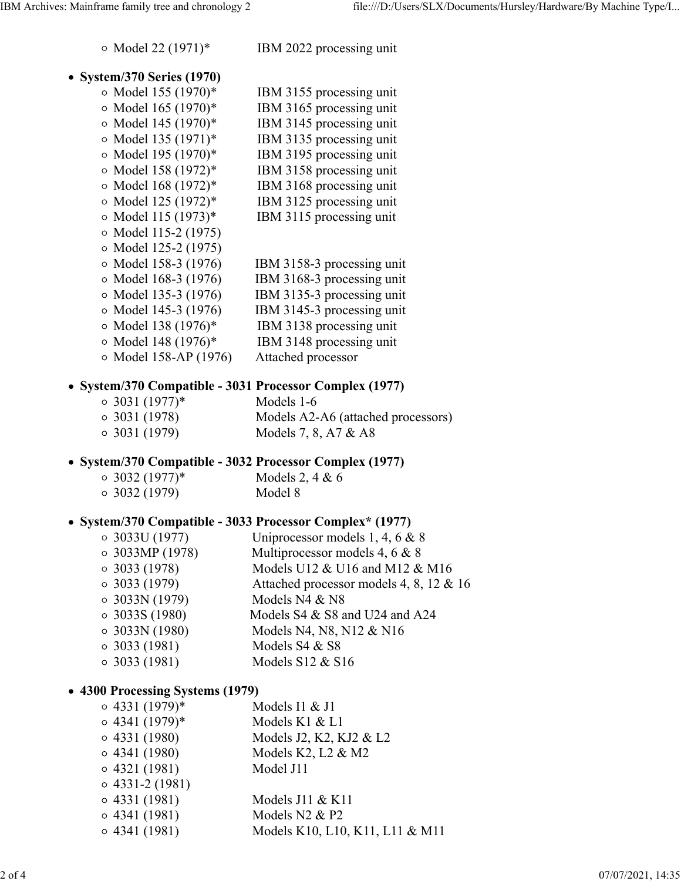Model 22 (1971)\* IBM 2022 processing unit

#### **System/370 Series (1970)**

| $\frac{1}{2}$ . $\frac{1}{2}$ . $\frac{1}{2}$ . $\frac{1}{2}$ |                            |
|---------------------------------------------------------------|----------------------------|
| $\circ$ Model 155 (1970)*                                     | IBM 3155 processing unit   |
| ○ Model 165 (1970)*                                           | IBM 3165 processing unit   |
| ○ Model 145 (1970)*                                           | IBM 3145 processing unit   |
| ○ Model 135 (1971)*                                           | IBM 3135 processing unit   |
| ○ Model 195 (1970)*                                           | IBM 3195 processing unit   |
| ○ Model 158 (1972)*                                           | IBM 3158 processing unit   |
| ○ Model 168 (1972)*                                           | IBM 3168 processing unit   |
| o Model 125 (1972)*                                           | IBM 3125 processing unit   |
| ○ Model 115 (1973)*                                           | IBM 3115 processing unit   |
| $\circ$ Model 115-2 (1975)                                    |                            |
| ○ Model 125-2 (1975)                                          |                            |
| ○ Model 158-3 (1976)                                          | IBM 3158-3 processing unit |
| $\circ$ Model 168-3 (1976)                                    | IBM 3168-3 processing unit |
| ○ Model 135-3 (1976)                                          | IBM 3135-3 processing unit |
| ○ Model 145-3 (1976)                                          | IBM 3145-3 processing unit |
| ○ Model 138 (1976)*                                           | IBM 3138 processing unit   |
| ○ Model 148 (1976)*                                           | IBM 3148 processing unit   |
| ○ Model 158-AP (1976)                                         | Attached processor         |

#### **System/370 Compatible - 3031 Processor Complex (1977)**

| $\circ$ 3031 (1977)* | Models 1-6                         |
|----------------------|------------------------------------|
| $\circ$ 3031 (1978)  | Models A2-A6 (attached processors) |
| $\circ$ 3031 (1979)  | Models 7, 8, A7 $&$ A8             |

#### **System/370 Compatible - 3032 Processor Complex (1977)**

| $\circ$ 3032 (1977)* | Models 2, 4 & $6$ |
|----------------------|-------------------|
| $\circ$ 3032 (1979)  | Model 8           |

#### **System/370 Compatible - 3033 Processor Complex\* (1977)**

| $\circ$ 3033U (1977)  | Uniprocessor models 1, 4, 6 $& 8$       |
|-----------------------|-----------------------------------------|
| $\circ$ 3033MP (1978) | Multiprocessor models 4, 6 & 8          |
| $\circ$ 3033 (1978)   | Models U12 & U16 and M12 & M16          |
| $\circ$ 3033 (1979)   | Attached processor models 4, 8, 12 & 16 |
| $\circ$ 3033N (1979)  | Models N4 & N8                          |
| $\circ$ 3033S (1980)  | Models S4 & S8 and U24 and A24          |
| $\circ$ 3033N (1980)  | Models N4, N8, N12 & N16                |
| $\circ$ 3033 (1981)   | Models S4 & S8                          |
| $\circ$ 3033 (1981)   | Models $S12 \& S16$                     |
|                       |                                         |

#### **4300 Processing Systems (1979)**

| $\circ$ 4331 (1979)*  | Models I1 & J1                  |
|-----------------------|---------------------------------|
| $\circ$ 4341 (1979)*  | Models K1 & L1                  |
| $\circ$ 4331 (1980)   | Models J2, K2, KJ2 & L2         |
| $\circ$ 4341 (1980)   | Models K2, L2 $&$ M2            |
| 0.4321(1981)          | Model J11                       |
| $\circ$ 4331-2 (1981) |                                 |
| $\circ$ 4331 (1981)   | Models $J11 \& K11$             |
| $\circ$ 4341 (1981)   | Models N2 & P2                  |
| $\circ$ 4341 (1981)   | Models K10, L10, K11, L11 & M11 |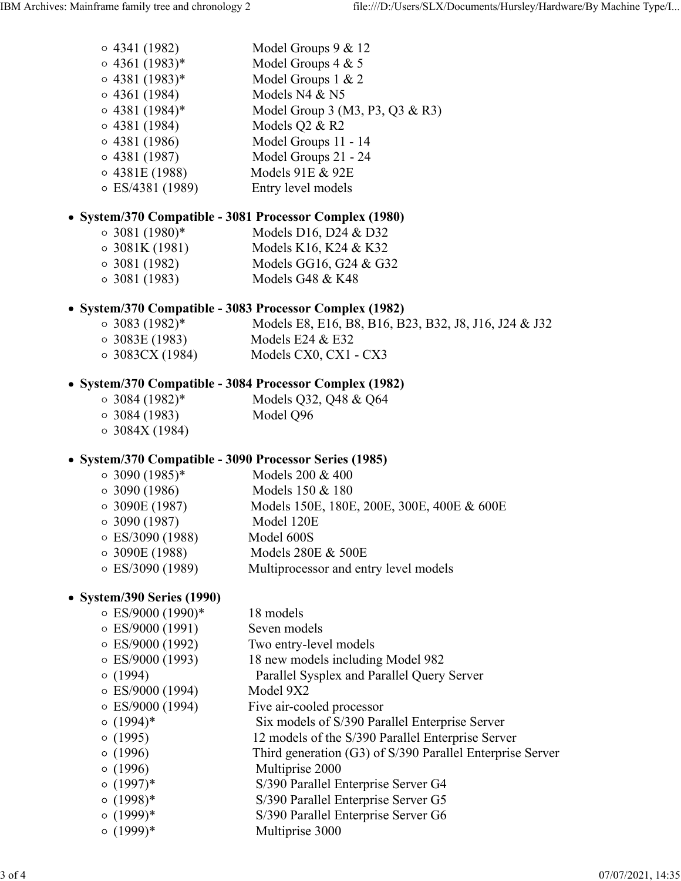- 4341 (1982) Model Groups 9 & 12  $\circ$  4361 (1983)\* Model Groups 4 & 5 4381 (1983)\* Model Groups 1 & 2
- $\circ$  4361 (1984) Models N4 & N5
- $\circ$  4381 (1984)\* Model Group 3 (M3, P3, Q3 & R3)
- $\circ$  4381 (1984) Models Q2 & R2
- 4381 (1986) Model Groups 11 14
- 4381 (1987) Model Groups 21 24
- 4381E (1988) Models 91E & 92E
- ES/4381 (1989) Entry level models

## **System/370 Compatible - 3081 Processor Complex (1980)**

- $\circ$  3081 (1980)\* Models D16, D24 & D32
- 3081K (1981) Models K16, K24 & K32 3081 (1982) Models GG16, G24 & G32
- 3081 (1983) Models G48 & K48

## **System/370 Compatible - 3083 Processor Complex (1982)**

3083 (1982)\* Models E8, E16, B8, B16, B23, B32, J8, J16, J24 & J32 3083E (1983) Models E24 & E32 3083CX (1984) Models CX0, CX1 - CX3

## **System/370 Compatible - 3084 Processor Complex (1982)**

- 3084 (1982)\* Models Q32, Q48 & Q64
- 3084 (1983) Model Q96
- $\circ$  3084X (1984)

### **System/370 Compatible - 3090 Processor Series (1985)**

- $\circ$  3090 (1985)\* Models 200 & 400
- 3090 (1986) Models 150 & 180
- 3090E (1987) Models 150E, 180E, 200E, 300E, 400E & 600E
- 3090 (1987) Model 120E
- ES/3090 (1988) Model 600S
- 3090E (1988) Models 280E & 500E
- ES/3090 (1989) Multiprocessor and entry level models

## **System/390 Series (1990)**

- $\circ$  ES/9000 (1990)\* 18 models
- $\circ$  ES/9000 (1991) Seven models
- ES/9000 (1992) Two entry-level models
- ES/9000 (1993) 18 new models including Model 982
- (1994) Parallel Sysplex and Parallel Query Server
- ES/9000 (1994) Model 9X2
- ES/9000 (1994) Five air-cooled processor
- (1994)\* Six models of S/390 Parallel Enterprise Server
- (1995) 12 models of the S/390 Parallel Enterprise Server
- (1996) Third generation (G3) of S/390 Parallel Enterprise Server
- $\circ$  (1996) Multiprise 2000
- (1997)\* S/390 Parallel Enterprise Server G4
- (1998)\* S/390 Parallel Enterprise Server G5
- (1999)\* S/390 Parallel Enterprise Server G6
- $\circ$  (1999)\* Multiprise 3000